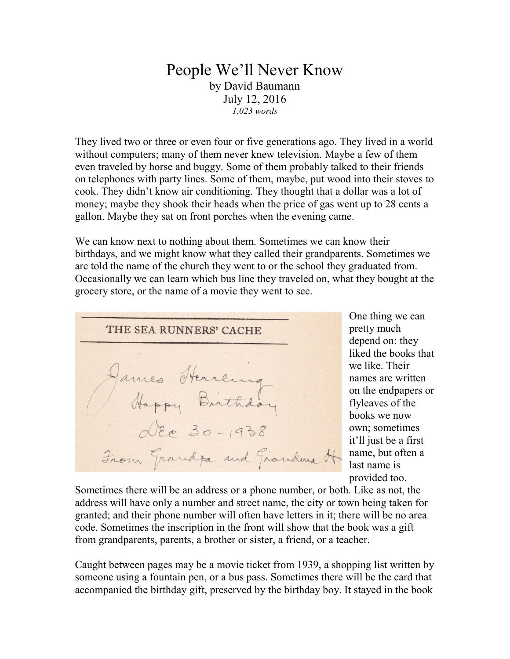## People We'll Never Know by David Baumann July 12, 2016 *1,023 words*

They lived two or three or even four or five generations ago. They lived in a world without computers; many of them never knew television. Maybe a few of them even traveled by horse and buggy. Some of them probably talked to their friends on telephones with party lines. Some of them, maybe, put wood into their stoves to cook. They didn't know air conditioning. They thought that a dollar was a lot of money; maybe they shook their heads when the price of gas went up to 28 cents a gallon. Maybe they sat on front porches when the evening came.

We can know next to nothing about them. Sometimes we can know their birthdays, and we might know what they called their grandparents. Sometimes we are told the name of the church they went to or the school they graduated from. Occasionally we can learn which bus line they traveled on, what they bought at the grocery store, or the name of a movie they went to see.



One thing we can pretty much depend on: they liked the books that we like. Their names are written on the endpapers or flyleaves of the books we now own; sometimes it'll just be a first name, but often a last name is provided too.

Sometimes there will be an address or a phone number, or both. Like as not, the address will have only a number and street name, the city or town being taken for granted; and their phone number will often have letters in it; there will be no area code. Sometimes the inscription in the front will show that the book was a gift from grandparents, parents, a brother or sister, a friend, or a teacher.

Caught between pages may be a movie ticket from 1939, a shopping list written by someone using a fountain pen, or a bus pass. Sometimes there will be the card that accompanied the birthday gift, preserved by the birthday boy. It stayed in the book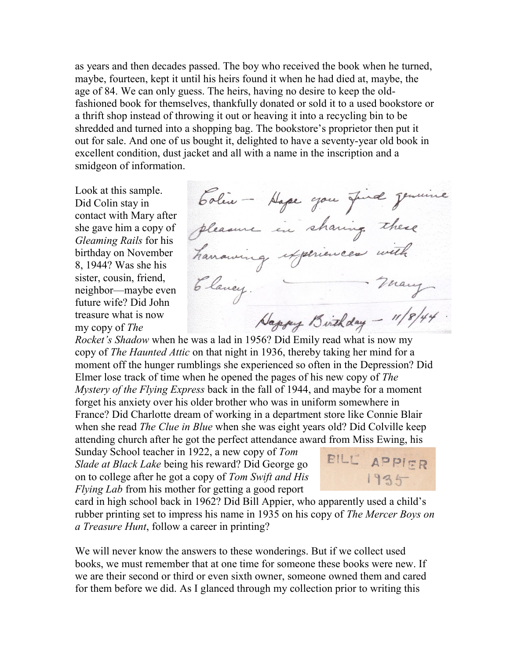as years and then decades passed. The boy who received the book when he turned, maybe, fourteen, kept it until his heirs found it when he had died at, maybe, the age of 84. We can only guess. The heirs, having no desire to keep the oldfashioned book for themselves, thankfully donated or sold it to a used bookstore or a thrift shop instead of throwing it out or heaving it into a recycling bin to be shredded and turned into a shopping bag. The bookstore's proprietor then put it out for sale. And one of us bought it, delighted to have a seventy-year old book in excellent condition, dust jacket and all with a name in the inscription and a smidgeon of information.

Look at this sample. Did Colin stay in contact with Mary after she gave him a copy of *Gleaming Rails* for his birthday on November 8, 1944? Was she his sister, cousin, friend, neighbor—maybe even future wife? Did John treasure what is now my copy of *The* 

Colin - Hape you find genuine pleasure in sharing these havaing experiences with many Elancy. Happy Birthday - 11/8/44

*Rocket's Shadow* when he was a lad in 1956? Did Emily read what is now my copy of *The Haunted Attic* on that night in 1936, thereby taking her mind for a moment off the hunger rumblings she experienced so often in the Depression? Did Elmer lose track of time when he opened the pages of his new copy of *The Mystery of the Flying Express* back in the fall of 1944, and maybe for a moment forget his anxiety over his older brother who was in uniform somewhere in France? Did Charlotte dream of working in a department store like Connie Blair when she read *The Clue in Blue* when she was eight years old? Did Colville keep attending church after he got the perfect attendance award from Miss Ewing, his

Sunday School teacher in 1922, a new copy of *Tom Slade at Black Lake* being his reward? Did George go on to college after he got a copy of *Tom Swift and His Flying Lab* from his mother for getting a good report



card in high school back in 1962? Did Bill Appier, who apparently used a child's rubber printing set to impress his name in 1935 on his copy of *The Mercer Boys on a Treasure Hunt*, follow a career in printing?

We will never know the answers to these wonderings. But if we collect used books, we must remember that at one time for someone these books were new. If we are their second or third or even sixth owner, someone owned them and cared for them before we did. As I glanced through my collection prior to writing this